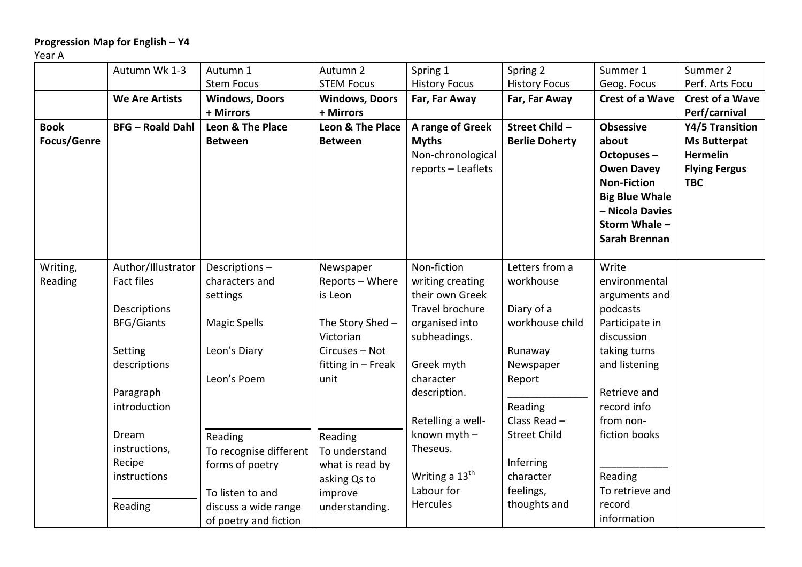## **Progression Map for English – Y4**

Year A

|                                   | Autumn Wk 1-3                           | Autumn 1                                             | Autumn 2                                                  | Spring 1                                                                    | Spring 2                               | Summer 1                                                                                                                                        | Summer 2                                                                                        |
|-----------------------------------|-----------------------------------------|------------------------------------------------------|-----------------------------------------------------------|-----------------------------------------------------------------------------|----------------------------------------|-------------------------------------------------------------------------------------------------------------------------------------------------|-------------------------------------------------------------------------------------------------|
|                                   |                                         | <b>Stem Focus</b>                                    | <b>STEM Focus</b>                                         | <b>History Focus</b>                                                        | <b>History Focus</b>                   | Geog. Focus                                                                                                                                     | Perf. Arts Focu                                                                                 |
|                                   | <b>We Are Artists</b>                   | <b>Windows, Doors</b>                                | <b>Windows, Doors</b>                                     | Far, Far Away                                                               | Far, Far Away                          | <b>Crest of a Wave</b>                                                                                                                          | <b>Crest of a Wave</b>                                                                          |
|                                   |                                         | + Mirrors                                            | + Mirrors                                                 |                                                                             |                                        |                                                                                                                                                 | Perf/carnival                                                                                   |
| <b>Book</b><br><b>Focus/Genre</b> | <b>BFG</b> - Roald Dahl                 | Leon & The Place<br><b>Between</b>                   | Leon & The Place<br><b>Between</b>                        | A range of Greek<br><b>Myths</b><br>Non-chronological<br>reports - Leaflets | Street Child-<br><b>Berlie Doherty</b> | <b>Obsessive</b><br>about<br>Octopuses-<br><b>Owen Davey</b><br><b>Non-Fiction</b><br><b>Big Blue Whale</b><br>- Nicola Davies<br>Storm Whale - | Y4/5 Transition<br><b>Ms Butterpat</b><br><b>Hermelin</b><br><b>Flying Fergus</b><br><b>TBC</b> |
| Writing,<br>Reading               | Author/Illustrator<br><b>Fact files</b> | Descriptions-<br>characters and                      | Newspaper<br>Reports - Where                              | Non-fiction<br>writing creating                                             | Letters from a<br>workhouse            | Sarah Brennan<br>Write<br>environmental                                                                                                         |                                                                                                 |
|                                   | Descriptions<br><b>BFG/Giants</b>       | settings<br><b>Magic Spells</b>                      | is Leon<br>The Story Shed -                               | their own Greek<br>Travel brochure<br>organised into                        | Diary of a<br>workhouse child          | arguments and<br>podcasts<br>Participate in                                                                                                     |                                                                                                 |
|                                   | Setting<br>descriptions                 | Leon's Diary<br>Leon's Poem                          | Victorian<br>Circuses - Not<br>fitting in - Freak<br>unit | subheadings.<br>Greek myth<br>character                                     | Runaway<br>Newspaper<br>Report         | discussion<br>taking turns<br>and listening                                                                                                     |                                                                                                 |
|                                   | Paragraph<br>introduction               |                                                      |                                                           | description.<br>Retelling a well-                                           | Reading<br>Class Read -                | Retrieve and<br>record info<br>from non-                                                                                                        |                                                                                                 |
|                                   | Dream<br>instructions,<br>Recipe        | Reading<br>To recognise different<br>forms of poetry | Reading<br>To understand<br>what is read by               | known myth -<br>Theseus.                                                    | <b>Street Child</b><br>Inferring       | fiction books                                                                                                                                   |                                                                                                 |
|                                   | instructions                            | To listen to and                                     | asking Qs to<br>improve                                   | Writing a 13 <sup>th</sup><br>Labour for                                    | character<br>feelings,                 | Reading<br>To retrieve and                                                                                                                      |                                                                                                 |
|                                   | Reading                                 | discuss a wide range<br>of poetry and fiction        | understanding.                                            | <b>Hercules</b>                                                             | thoughts and                           | record<br>information                                                                                                                           |                                                                                                 |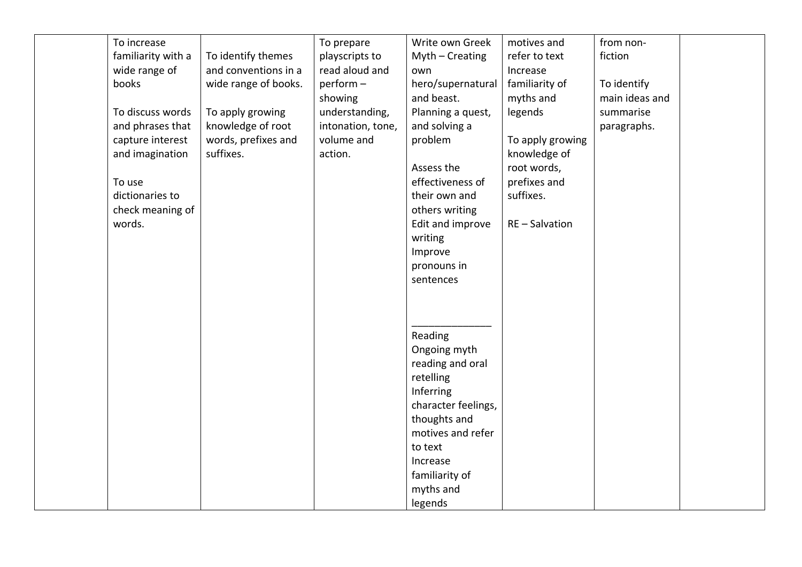| To increase        |                      | To prepare        | Write own Greek     | motives and      | from non-      |  |
|--------------------|----------------------|-------------------|---------------------|------------------|----------------|--|
| familiarity with a | To identify themes   | playscripts to    | $Myth - Creating$   | refer to text    | fiction        |  |
| wide range of      | and conventions in a | read aloud and    | own                 | Increase         |                |  |
| books              | wide range of books. | $perform -$       | hero/supernatural   | familiarity of   | To identify    |  |
|                    |                      | showing           | and beast.          | myths and        | main ideas and |  |
| To discuss words   | To apply growing     | understanding,    | Planning a quest,   | legends          | summarise      |  |
| and phrases that   | knowledge of root    | intonation, tone, | and solving a       |                  | paragraphs.    |  |
| capture interest   | words, prefixes and  | volume and        | problem             | To apply growing |                |  |
| and imagination    | suffixes.            | action.           |                     | knowledge of     |                |  |
|                    |                      |                   | Assess the          | root words,      |                |  |
| To use             |                      |                   | effectiveness of    | prefixes and     |                |  |
| dictionaries to    |                      |                   | their own and       | suffixes.        |                |  |
| check meaning of   |                      |                   | others writing      |                  |                |  |
| words.             |                      |                   | Edit and improve    | RE-Salvation     |                |  |
|                    |                      |                   | writing             |                  |                |  |
|                    |                      |                   | Improve             |                  |                |  |
|                    |                      |                   | pronouns in         |                  |                |  |
|                    |                      |                   | sentences           |                  |                |  |
|                    |                      |                   |                     |                  |                |  |
|                    |                      |                   |                     |                  |                |  |
|                    |                      |                   |                     |                  |                |  |
|                    |                      |                   | Reading             |                  |                |  |
|                    |                      |                   | Ongoing myth        |                  |                |  |
|                    |                      |                   | reading and oral    |                  |                |  |
|                    |                      |                   | retelling           |                  |                |  |
|                    |                      |                   | Inferring           |                  |                |  |
|                    |                      |                   | character feelings, |                  |                |  |
|                    |                      |                   | thoughts and        |                  |                |  |
|                    |                      |                   | motives and refer   |                  |                |  |
|                    |                      |                   | to text             |                  |                |  |
|                    |                      |                   | Increase            |                  |                |  |
|                    |                      |                   | familiarity of      |                  |                |  |
|                    |                      |                   | myths and           |                  |                |  |
|                    |                      |                   | legends             |                  |                |  |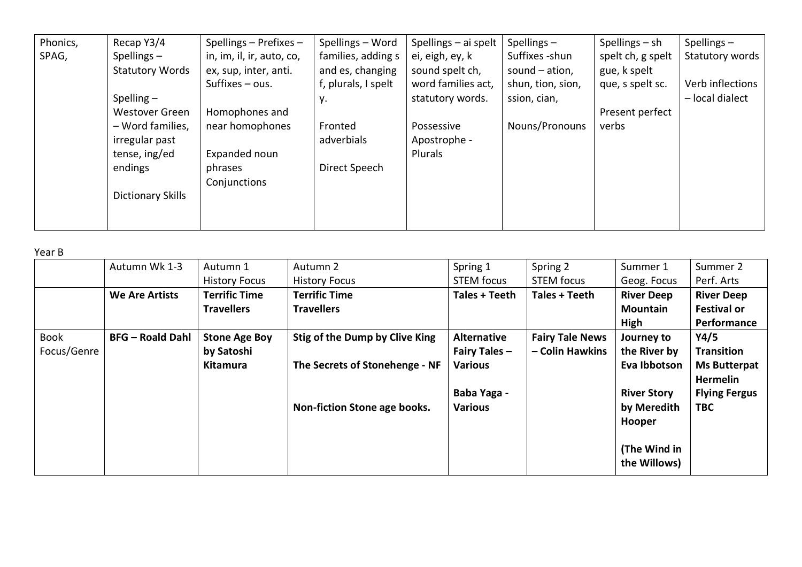| Phonics, | Recap Y3/4               | Spellings $-$ Prefixes $-$ | Spellings - Word    | Spellings - ai spelt $ $ | Spellings $-$     | Spellings $-$ sh  | Spellings-       |
|----------|--------------------------|----------------------------|---------------------|--------------------------|-------------------|-------------------|------------------|
| SPAG,    | Spellings $-$            | in, im, il, ir, auto, co,  | families, adding s  | ei, eigh, ey, k          | Suffixes -shun    | spelt ch, g spelt | Statutory words  |
|          | <b>Statutory Words</b>   | ex, sup, inter, anti.      | and es, changing    | sound spelt ch,          | sound $-$ ation,  | gue, k spelt      |                  |
|          |                          | Suffixes $-$ ous.          | f, plurals, I spelt | word families act,       | shun, tion, sion, | que, s spelt sc.  | Verb inflections |
|          | Spelling $-$             |                            | у.                  | statutory words.         | ssion, cian,      |                   | - local dialect  |
|          | <b>Westover Green</b>    | Homophones and             |                     |                          |                   | Present perfect   |                  |
|          | - Word families,         | near homophones            | Fronted             | Possessive               | Nouns/Pronouns    | verbs             |                  |
|          | irregular past           |                            | adverbials          | Apostrophe -             |                   |                   |                  |
|          | tense, ing/ed            | Expanded noun              |                     | Plurals                  |                   |                   |                  |
|          | endings                  | phrases                    | Direct Speech       |                          |                   |                   |                  |
|          |                          | Conjunctions               |                     |                          |                   |                   |                  |
|          | <b>Dictionary Skills</b> |                            |                     |                          |                   |                   |                  |
|          |                          |                            |                     |                          |                   |                   |                  |
|          |                          |                            |                     |                          |                   |                   |                  |

Year B

|             | Autumn Wk 1-3           | Autumn 1             | Autumn 2                       | Spring 1             | Spring 2               | Summer 1           | Summer 2             |
|-------------|-------------------------|----------------------|--------------------------------|----------------------|------------------------|--------------------|----------------------|
|             |                         | <b>History Focus</b> | <b>History Focus</b>           | <b>STEM focus</b>    | <b>STEM focus</b>      | Geog. Focus        | Perf. Arts           |
|             | <b>We Are Artists</b>   | <b>Terrific Time</b> | <b>Terrific Time</b>           | Tales + Teeth        | Tales + Teeth          | <b>River Deep</b>  | <b>River Deep</b>    |
|             |                         | <b>Travellers</b>    | <b>Travellers</b>              |                      |                        | Mountain           | <b>Festival or</b>   |
|             |                         |                      |                                |                      |                        | High               | Performance          |
| Book        | <b>BFG</b> - Roald Dahl | <b>Stone Age Boy</b> | Stig of the Dump by Clive King | <b>Alternative</b>   | <b>Fairy Tale News</b> | Journey to         | Y4/5                 |
| Focus/Genre |                         | by Satoshi           |                                | <b>Fairy Tales -</b> | - Colin Hawkins        | the River by       | <b>Transition</b>    |
|             |                         | Kitamura             | The Secrets of Stonehenge - NF | <b>Various</b>       |                        | Eva Ibbotson       | <b>Ms Butterpat</b>  |
|             |                         |                      |                                |                      |                        |                    | Hermelin             |
|             |                         |                      |                                | Baba Yaga -          |                        | <b>River Story</b> | <b>Flying Fergus</b> |
|             |                         |                      | Non-fiction Stone age books.   | <b>Various</b>       |                        | by Meredith        | <b>TBC</b>           |
|             |                         |                      |                                |                      |                        | Hooper             |                      |
|             |                         |                      |                                |                      |                        |                    |                      |
|             |                         |                      |                                |                      |                        | (The Wind in       |                      |
|             |                         |                      |                                |                      |                        | the Willows)       |                      |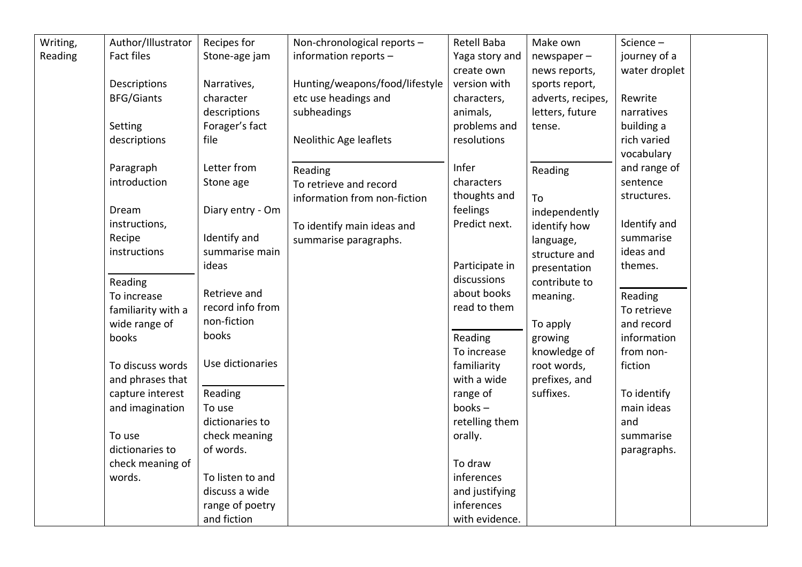| Writing, | Author/Illustrator | Recipes for      | Non-chronological reports -    | Retell Baba    | Make own          | Science-      |  |
|----------|--------------------|------------------|--------------------------------|----------------|-------------------|---------------|--|
| Reading  | Fact files         | Stone-age jam    | information reports -          | Yaga story and | $newspaper -$     | journey of a  |  |
|          |                    |                  |                                | create own     | news reports,     | water droplet |  |
|          | Descriptions       | Narratives,      | Hunting/weapons/food/lifestyle | version with   | sports report,    |               |  |
|          | <b>BFG/Giants</b>  | character        | etc use headings and           | characters,    | adverts, recipes, | Rewrite       |  |
|          |                    | descriptions     | subheadings                    | animals,       | letters, future   | narratives    |  |
|          | Setting            | Forager's fact   |                                | problems and   | tense.            | building a    |  |
|          | descriptions       | file             | Neolithic Age leaflets         | resolutions    |                   | rich varied   |  |
|          |                    |                  |                                |                |                   | vocabulary    |  |
|          | Paragraph          | Letter from      | Reading                        | Infer          | Reading           | and range of  |  |
|          | introduction       | Stone age        | To retrieve and record         | characters     |                   | sentence      |  |
|          |                    |                  | information from non-fiction   | thoughts and   | To                | structures.   |  |
|          | Dream              | Diary entry - Om |                                | feelings       | independently     |               |  |
|          | instructions,      |                  | To identify main ideas and     | Predict next.  | identify how      | Identify and  |  |
|          | Recipe             | Identify and     | summarise paragraphs.          |                | language,         | summarise     |  |
|          | instructions       | summarise main   |                                |                | structure and     | ideas and     |  |
|          |                    | ideas            |                                | Participate in | presentation      | themes.       |  |
|          | Reading            |                  |                                | discussions    | contribute to     |               |  |
|          | To increase        | Retrieve and     |                                | about books    | meaning.          | Reading       |  |
|          | familiarity with a | record info from |                                | read to them   |                   | To retrieve   |  |
|          | wide range of      | non-fiction      |                                |                | To apply          | and record    |  |
|          | books              | books            |                                | Reading        | growing           | information   |  |
|          |                    |                  |                                | To increase    | knowledge of      | from non-     |  |
|          | To discuss words   | Use dictionaries |                                | familiarity    | root words,       | fiction       |  |
|          | and phrases that   |                  |                                | with a wide    | prefixes, and     |               |  |
|          | capture interest   | Reading          |                                | range of       | suffixes.         | To identify   |  |
|          | and imagination    | To use           |                                | $books -$      |                   | main ideas    |  |
|          |                    | dictionaries to  |                                | retelling them |                   | and           |  |
|          | To use             | check meaning    |                                | orally.        |                   | summarise     |  |
|          | dictionaries to    | of words.        |                                |                |                   | paragraphs.   |  |
|          | check meaning of   |                  |                                | To draw        |                   |               |  |
|          | words.             | To listen to and |                                | inferences     |                   |               |  |
|          |                    | discuss a wide   |                                | and justifying |                   |               |  |
|          |                    | range of poetry  |                                | inferences     |                   |               |  |
|          |                    | and fiction      |                                | with evidence. |                   |               |  |